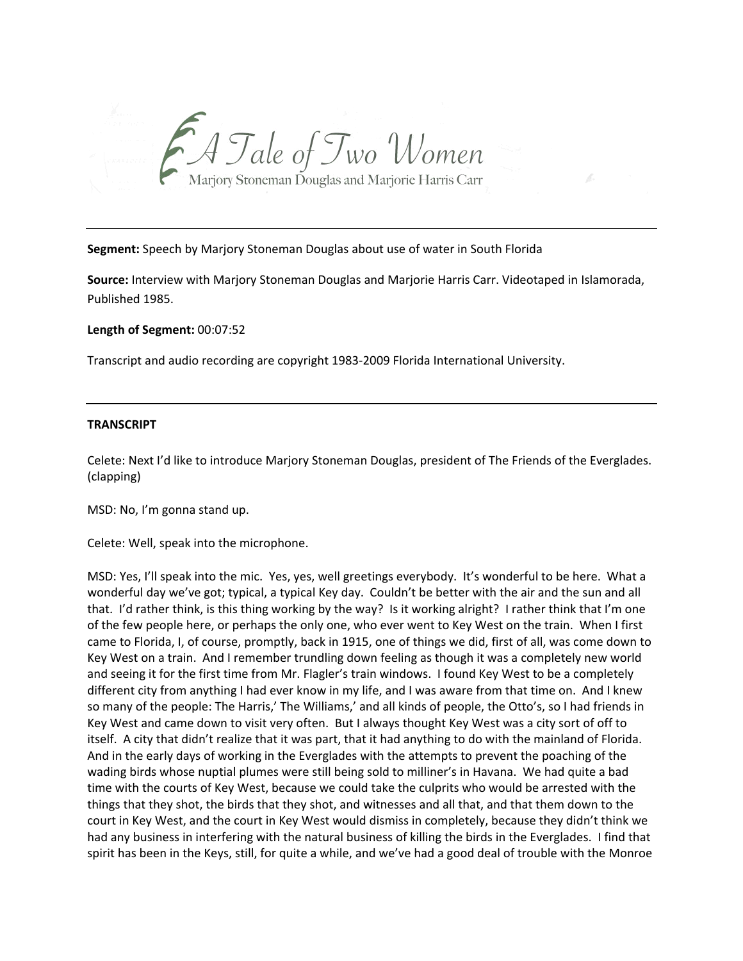

**Segment:** Speech by Marjory Stoneman Douglas about use of water in South Florida

**Source:** Interview with Marjory Stoneman Douglas and Marjorie Harris Carr. Videotaped in Islamorada, Published 1985.

**Length of Segment:** 00:07:52

Transcript and audio recording are copyright 1983‐2009 Florida International University.

## **TRANSCRIPT**

Celete: Next I'd like to introduce Marjory Stoneman Douglas, president of The Friends of the Everglades. (clapping)

MSD: No, I'm gonna stand up.

Celete: Well, speak into the microphone.

MSD: Yes, I'll speak into the mic. Yes, yes, well greetings everybody. It's wonderful to be here. What a wonderful day we've got; typical, a typical Key day. Couldn't be better with the air and the sun and all that. I'd rather think, is this thing working by the way? Is it working alright? I rather think that I'm one of the few people here, or perhaps the only one, who ever went to Key West on the train. When I first came to Florida, I, of course, promptly, back in 1915, one of things we did, first of all, was come down to Key West on a train. And I remember trundling down feeling as though it was a completely new world and seeing it for the first time from Mr. Flagler's train windows. I found Key West to be a completely different city from anything I had ever know in my life, and I was aware from that time on. And I knew so many of the people: The Harris,' The Williams,' and all kinds of people, the Otto's, so I had friends in Key West and came down to visit very often. But I always thought Key West was a city sort of off to itself. A city that didn't realize that it was part, that it had anything to do with the mainland of Florida. And in the early days of working in the Everglades with the attempts to prevent the poaching of the wading birds whose nuptial plumes were still being sold to milliner's in Havana. We had quite a bad time with the courts of Key West, because we could take the culprits who would be arrested with the things that they shot, the birds that they shot, and witnesses and all that, and that them down to the court in Key West, and the court in Key West would dismiss in completely, because they didn't think we had any business in interfering with the natural business of killing the birds in the Everglades. I find that spirit has been in the Keys, still, for quite a while, and we've had a good deal of trouble with the Monroe